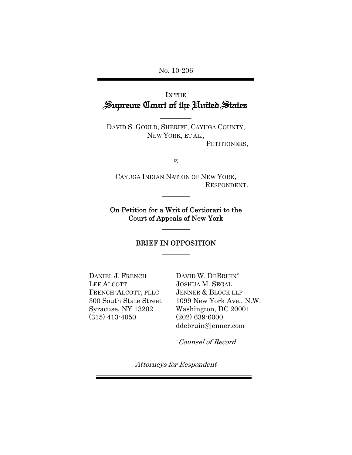No. 10-206

# IN THE Supreme Court of the United States

DAVID S. GOULD, SHERIFF, CAYUGA COUNTY, NEW YORK, ET AL., PETITIONERS,

 $\overline{\phantom{a}}$  . The set of  $\overline{\phantom{a}}$ 

v.

CAYUGA INDIAN NATION OF NEW YORK, RESPONDENT.

On Petition for a Writ of Certiorari to the Court of Appeals of New York

 $\overline{\phantom{a}}$ 

 $\overline{\phantom{a}}$ 

### BRIEF IN OPPOSITION  $\overline{\phantom{a}}$

DANIEL J. FRENCH LEE ALCOTT FRENCH-ALCOTT, PLLC 300 South State Street Syracuse, NY 13202 (315) 413-4050

DAVID W. DEBRUIN\* JOSHUA M. SEGAL JENNER & BLOCK LLP 1099 New York Ave., N.W. Washington, DC 20001 (202) 639-6000 ddebruin@jenner.com

\*Counsel of Record

Attorneys for Respondent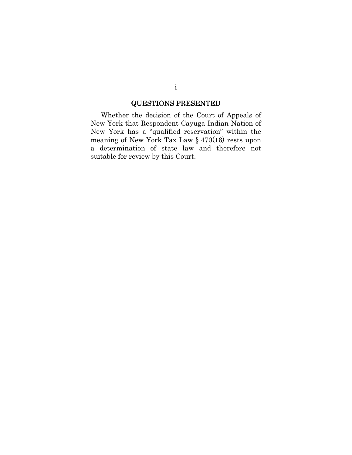# QUESTIONS PRESENTED

Whether the decision of the Court of Appeals of New York that Respondent Cayuga Indian Nation of New York has a "qualified reservation" within the meaning of New York Tax Law § 470(16) rests upon a determination of state law and therefore not suitable for review by this Court.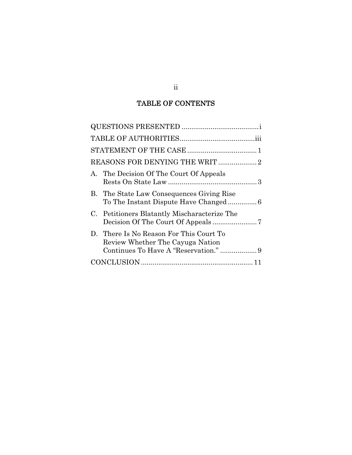# TABLE OF CONTENTS

| A. The Decision Of The Court Of Appeals                                                                              |
|----------------------------------------------------------------------------------------------------------------------|
| B. The State Law Consequences Giving Rise                                                                            |
| C. Petitioners Blatantly Mischaracterize The                                                                         |
| D. There Is No Reason For This Court To<br>Review Whether The Cayuga Nation<br>Continues To Have A "Reservation."  9 |
|                                                                                                                      |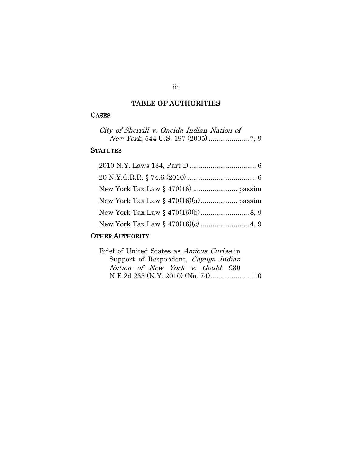# TABLE OF AUTHORITIES

## CASES

| City of Sherrill v. Oneida Indian Nation of |  |
|---------------------------------------------|--|
|                                             |  |

## **STATUTES**

# OTHER AUTHORITY

| Brief of United States as Amicus Curiae in |  |
|--------------------------------------------|--|
| Support of Respondent, Cayuga Indian       |  |
| Nation of New York v. Gould, 930           |  |
|                                            |  |

## iii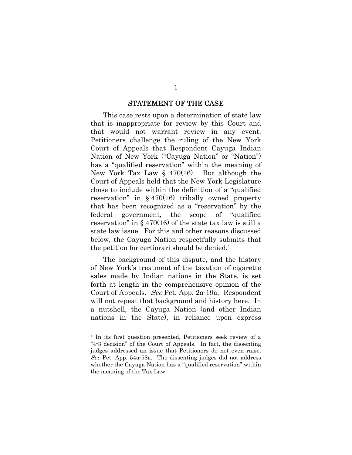#### STATEMENT OF THE CASE

 This case rests upon a determination of state law that is inappropriate for review by this Court and that would not warrant review in any event. Petitioners challenge the ruling of the New York Court of Appeals that Respondent Cayuga Indian Nation of New York ("Cayuga Nation" or "Nation") has a "qualified reservation" within the meaning of New York Tax Law § 470(16). But although the Court of Appeals held that the New York Legislature chose to include within the definition of a "qualified reservation" in  $\S$  470(16) tribally owned property that has been recognized as a "reservation" by the federal government, the scope of "qualified reservation" in  $\S$  470(16) of the state tax law is still a state law issue. For this and other reasons discussed below, the Cayuga Nation respectfully submits that the petition for certiorari should be denied.1

 The background of this dispute, and the history of New York's treatment of the taxation of cigarette sales made by Indian nations in the State, is set forth at length in the comprehensive opinion of the Court of Appeals. See Pet. App. 2a-19a. Respondent will not repeat that background and history here. In a nutshell, the Cayuga Nation (and other Indian nations in the State), in reliance upon express

 $\overline{a}$ 

<sup>1</sup> In its first question presented, Petitioners seek review of a "4-3 decision" of the Court of Appeals. In fact, the dissenting judges addressed an issue that Petitioners do not even raise. See Pet. App. 54a-58a. The dissenting judges did not address whether the Cayuga Nation has a "qualified reservation" within the meaning of the Tax Law.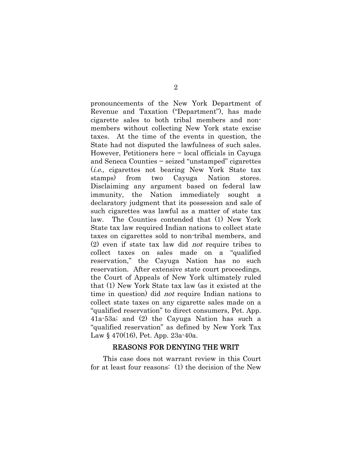pronouncements of the New York Department of Revenue and Taxation ("Department"), has made cigarette sales to both tribal members and nonmembers without collecting New York state excise taxes. At the time of the events in question, the State had not disputed the lawfulness of such sales. However, Petitioners here − local officials in Cayuga and Seneca Counties − seized "unstamped" cigarettes (i.e., cigarettes not bearing New York State tax stamps) from two Cayuga Nation stores. Disclaiming any argument based on federal law immunity, the Nation immediately sought a declaratory judgment that its possession and sale of such cigarettes was lawful as a matter of state tax law. The Counties contended that (1) New York State tax law required Indian nations to collect state taxes on cigarettes sold to non-tribal members, and (2) even if state tax law did not require tribes to collect taxes on sales made on a "qualified reservation," the Cayuga Nation has no such reservation. After extensive state court proceedings, the Court of Appeals of New York ultimately ruled that (1) New York State tax law (as it existed at the time in question) did not require Indian nations to collect state taxes on any cigarette sales made on a "qualified reservation" to direct consumers, Pet. App. 41a-53a; and (2) the Cayuga Nation has such a "qualified reservation" as defined by New York Tax Law § 470(16), Pet. App. 23a-40a.

#### REASONS FOR DENYING THE WRIT

 This case does not warrant review in this Court for at least four reasons: (1) the decision of the New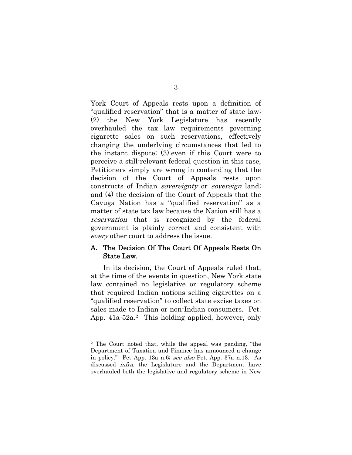York Court of Appeals rests upon a definition of "qualified reservation" that is a matter of state law; (2) the New York Legislature has recently overhauled the tax law requirements governing cigarette sales on such reservations, effectively changing the underlying circumstances that led to the instant dispute; (3) even if this Court were to perceive a still-relevant federal question in this case, Petitioners simply are wrong in contending that the decision of the Court of Appeals rests upon constructs of Indian sovereignty or sovereign land; and (4) the decision of the Court of Appeals that the Cayuga Nation has a "qualified reservation" as a matter of state tax law because the Nation still has a reservation that is recognized by the federal government is plainly correct and consistent with every other court to address the issue.

### A. The Decision Of The Court Of Appeals Rests On State Law.

 In its decision, the Court of Appeals ruled that, at the time of the events in question, New York state law contained no legislative or regulatory scheme that required Indian nations selling cigarettes on a "qualified reservation" to collect state excise taxes on sales made to Indian or non-Indian consumers. Pet. App. 41a-52a.2 This holding applied, however, only

 $\overline{a}$ 

#### 3

<sup>2</sup> The Court noted that, while the appeal was pending, "the Department of Taxation and Finance has announced a change in policy." Pet App. 13a n.6; see also Pet. App. 37a n.13. As discussed infra, the Legislature and the Department have overhauled both the legislative and regulatory scheme in New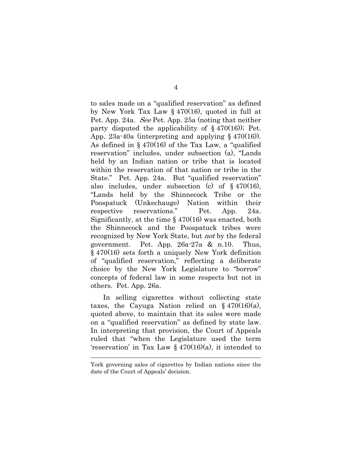to sales made on a "qualified reservation" as defined by New York Tax Law § 470(16), quoted in full at Pet. App. 24a. See Pet. App. 25a (noting that neither party disputed the applicability of  $\S$  470(16)); Pet. App. 23a-40a (interpreting and applying  $\S$  470(16)). As defined in § 470(16) of the Tax Law, a "qualified reservation" includes, under subsection (a), "Lands held by an Indian nation or tribe that is located within the reservation of that nation or tribe in the State." Pet. App. 24a. But "qualified reservation" also includes, under subsection (c) of § 470(16), "Lands held by the Shinnecock Tribe or the Poospatuck (Unkechauge) Nation within their respective reservations." Pet. App. 24a. Significantly, at the time § 470(16) was enacted, both the Shinnecock and the Poospatuck tribes were recognized by New York State, but not by the federal government. Pet. App. 26a-27a & n.10. Thus, § 470(16) sets forth a uniquely New York definition of "qualified reservation," reflecting a deliberate choice by the New York Legislature to "borrow" concepts of federal law in some respects but not in others. Pet. App. 26a.

 In selling cigarettes without collecting state taxes, the Cayuga Nation relied on  $\S$  470(16)(a), quoted above, to maintain that its sales were made on a "qualified reservation" as defined by state law. In interpreting that provision, the Court of Appeals ruled that "when the Legislature used the term 'reservation' in Tax Law § 470(16)(a), it intended to

York governing sales of cigarettes by Indian nations since the date of the Court of Appeals' decision.

 $\overline{a}$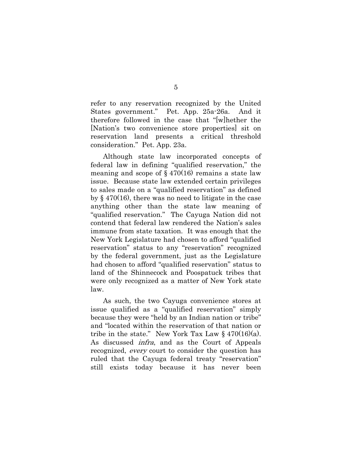refer to any reservation recognized by the United States government." Pet. App. 25a-26a. And it therefore followed in the case that "[w]hether the [Nation's two convenience store properties] sit on reservation land presents a critical threshold consideration." Pet. App. 23a.

 Although state law incorporated concepts of federal law in defining "qualified reservation," the meaning and scope of  $\S 470(16)$  remains a state law issue. Because state law extended certain privileges to sales made on a "qualified reservation" as defined by § 470(16), there was no need to litigate in the case anything other than the state law meaning of "qualified reservation." The Cayuga Nation did not contend that federal law rendered the Nation's sales immune from state taxation. It was enough that the New York Legislature had chosen to afford "qualified reservation" status to any "reservation" recognized by the federal government, just as the Legislature had chosen to afford "qualified reservation" status to land of the Shinnecock and Poospatuck tribes that were only recognized as a matter of New York state law.

 As such, the two Cayuga convenience stores at issue qualified as a "qualified reservation" simply because they were "held by an Indian nation or tribe" and "located within the reservation of that nation or tribe in the state." New York Tax Law  $\S$  470(16)(a). As discussed infra, and as the Court of Appeals recognized, every court to consider the question has ruled that the Cayuga federal treaty "reservation" still exists today because it has never been

5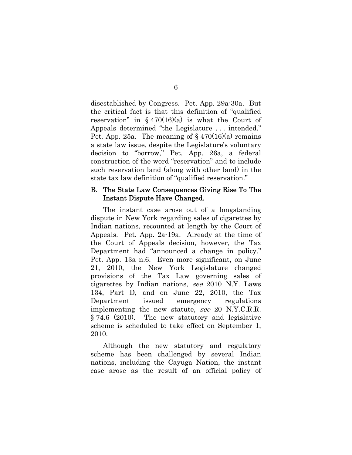disestablished by Congress. Pet. App. 29a-30a. But the critical fact is that this definition of "qualified reservation" in  $\S$  470(16)(a) is what the Court of Appeals determined "the Legislature . . . intended." Pet. App. 25a. The meaning of  $\S$  470(16)(a) remains a state law issue, despite the Legislature's voluntary decision to "borrow," Pet. App. 26a, a federal construction of the word "reservation" and to include such reservation land (along with other land) in the state tax law definition of "qualified reservation."

### B. The State Law Consequences Giving Rise To The Instant Dispute Have Changed.

 The instant case arose out of a longstanding dispute in New York regarding sales of cigarettes by Indian nations, recounted at length by the Court of Appeals. Pet. App. 2a-19a. Already at the time of the Court of Appeals decision, however, the Tax Department had "announced a change in policy." Pet. App. 13a n.6. Even more significant, on June 21, 2010, the New York Legislature changed provisions of the Tax Law governing sales of cigarettes by Indian nations, see 2010 N.Y. Laws 134, Part D, and on June 22, 2010, the Tax Department issued emergency regulations implementing the new statute, see 20 N.Y.C.R.R. § 74.6 (2010). The new statutory and legislative scheme is scheduled to take effect on September 1, 2010.

 Although the new statutory and regulatory scheme has been challenged by several Indian nations, including the Cayuga Nation, the instant case arose as the result of an official policy of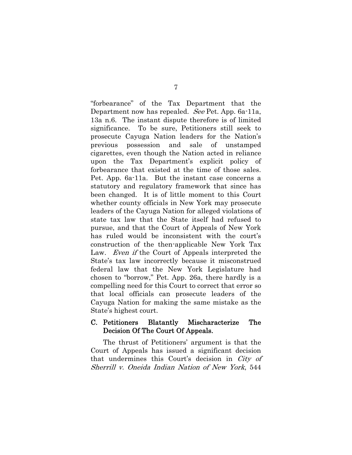"forbearance" of the Tax Department that the Department now has repealed. See Pet. App. 6a-11a, 13a n.6. The instant dispute therefore is of limited significance. To be sure, Petitioners still seek to prosecute Cayuga Nation leaders for the Nation's previous possession and sale of unstamped cigarettes, even though the Nation acted in reliance upon the Tax Department's explicit policy of forbearance that existed at the time of those sales. Pet. App. 6a-11a. But the instant case concerns a statutory and regulatory framework that since has been changed. It is of little moment to this Court whether county officials in New York may prosecute leaders of the Cayuga Nation for alleged violations of state tax law that the State itself had refused to pursue, and that the Court of Appeals of New York has ruled would be inconsistent with the court's construction of the then-applicable New York Tax Law. *Even if* the Court of Appeals interpreted the State's tax law incorrectly because it misconstrued federal law that the New York Legislature had chosen to "borrow," Pet. App. 26a, there hardly is a compelling need for this Court to correct that error so that local officials can prosecute leaders of the Cayuga Nation for making the same mistake as the State's highest court.

### C. Petitioners Blatantly Mischaracterize The Decision Of The Court Of Appeals.

 The thrust of Petitioners' argument is that the Court of Appeals has issued a significant decision that undermines this Court's decision in City of Sherrill v. Oneida Indian Nation of New York, 544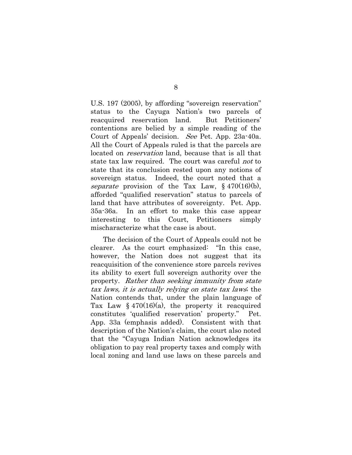U.S. 197 (2005), by affording "sovereign reservation" status to the Cayuga Nation's two parcels of reacquired reservation land. But Petitioners' contentions are belied by a simple reading of the Court of Appeals' decision. See Pet. App. 23a-40a. All the Court of Appeals ruled is that the parcels are located on *reservation* land, because that is all that state tax law required. The court was careful not to state that its conclusion rested upon any notions of sovereign status. Indeed, the court noted that a separate provision of the Tax Law,  $\S$  470(16)(b), afforded "qualified reservation" status to parcels of land that have attributes of sovereignty. Pet. App. 35a-36a. In an effort to make this case appear interesting to this Court, Petitioners simply mischaracterize what the case is about.

 The decision of the Court of Appeals could not be clearer. As the court emphasized: "In this case, however, the Nation does not suggest that its reacquisition of the convenience store parcels revives its ability to exert full sovereign authority over the property. Rather than seeking immunity from state tax laws, it is actually relying on state tax laws; the Nation contends that, under the plain language of Tax Law  $\S$  470(16)(a), the property it reacquired constitutes 'qualified reservation' property." Pet. App. 33a (emphasis added). Consistent with that description of the Nation's claim, the court also noted that the "Cayuga Indian Nation acknowledges its obligation to pay real property taxes and comply with local zoning and land use laws on these parcels and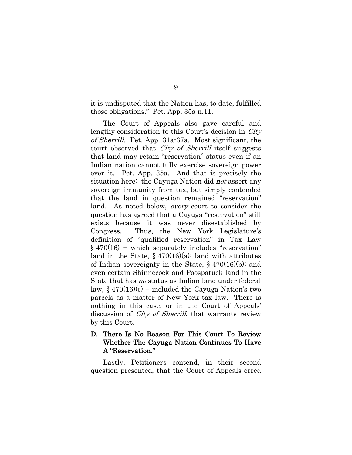it is undisputed that the Nation has, to date, fulfilled those obligations." Pet. App. 35a n.11.

 The Court of Appeals also gave careful and lengthy consideration to this Court's decision in *City* of Sherrill. Pet. App. 31a-37a. Most significant, the court observed that City of Sherrill itself suggests that land may retain "reservation" status even if an Indian nation cannot fully exercise sovereign power over it. Pet. App. 35a. And that is precisely the situation here: the Cayuga Nation did not assert any sovereign immunity from tax, but simply contended that the land in question remained "reservation" land. As noted below, every court to consider the question has agreed that a Cayuga "reservation" still exists because it was never disestablished by Congress. Thus, the New York Legislature's definition of "qualified reservation" in Tax Law § 470(16) − which separately includes "reservation" land in the State,  $\S$  470(16)(a); land with attributes of Indian sovereignty in the State,  $\S$  470(16)(b); and even certain Shinnecock and Poospatuck land in the State that has no status as Indian land under federal law,  $§$  470(16)(c) – included the Cayuga Nation's two parcels as a matter of New York tax law. There is nothing in this case, or in the Court of Appeals' discussion of City of Sherrill, that warrants review by this Court.

### D. There Is No Reason For This Court To Review Whether The Cayuga Nation Continues To Have A "Reservation."

 Lastly, Petitioners contend, in their second question presented, that the Court of Appeals erred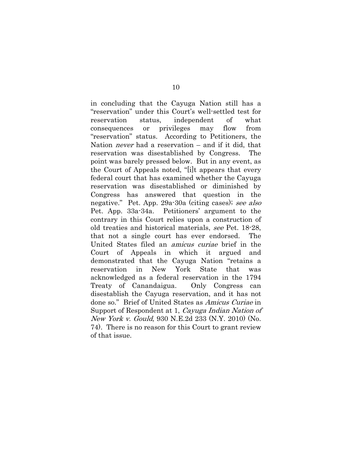in concluding that the Cayuga Nation still has a "reservation" under this Court's well-settled test for reservation status, independent of what consequences or privileges may flow from "reservation" status. According to Petitioners, the Nation never had a reservation – and if it did, that reservation was disestablished by Congress. The point was barely pressed below. But in any event, as the Court of Appeals noted, "[i]t appears that every federal court that has examined whether the Cayuga reservation was disestablished or diminished by Congress has answered that question in the negative." Pet. App. 29a-30a (citing cases); see also Pet. App. 33a-34a. Petitioners' argument to the contrary in this Court relies upon a construction of old treaties and historical materials, see Pet. 18-28, that not a single court has ever endorsed. The United States filed an amicus curiae brief in the Court of Appeals in which it argued and demonstrated that the Cayuga Nation "retains a reservation in New York State that was acknowledged as a federal reservation in the 1794 Treaty of Canandaigua. Only Congress can disestablish the Cayuga reservation, and it has not done so." Brief of United States as Amicus Curiae in Support of Respondent at 1, Cayuga Indian Nation of New York v. Gould, 930 N.E.2d 233 (N.Y. 2010) (No. 74). There is no reason for this Court to grant review of that issue.